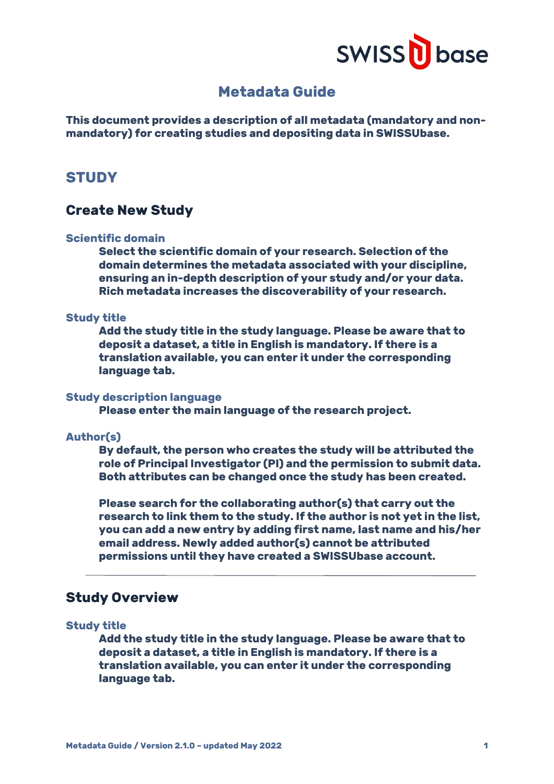

# **Metadata Guide**

**This document provides a description of all metadata (mandatory and nonmandatory) for creating studies and depositing data in SWISSUbase.**

# **STUDY**

# **Create New Study**

# **Scientific domain**

**Select the scientific domain of your research. Selection of the domain determines the metadata associated with your discipline, ensuring an in-depth description of your study and/or your data. Rich metadata increases the discoverability of your research.**

#### **Study title**

**Add the study title in the study language. Please be aware that to deposit a dataset, a title in English is mandatory. If there is a translation available, you can enter it under the corresponding language tab.**

#### **Study description language**

**Please enter the main language of the research project.**

### **Author(s)**

**By default, the person who creates the study will be attributed the role of Principal Investigator (PI) and the permission to submit data. Both attributes can be changed once the study has been created.**

**Please search for the collaborating author(s) that carry out the research to link them to the study. If the author is not yet in the list, you can add a new entry by adding first name, last name and his/her email address. Newly added author(s) cannot be attributed permissions until they have created a SWISSUbase account.**

# **Study Overview**

# **Study title**

**Add the study title in the study language. Please be aware that to deposit a dataset, a title in English is mandatory. If there is a translation available, you can enter it under the corresponding language tab.**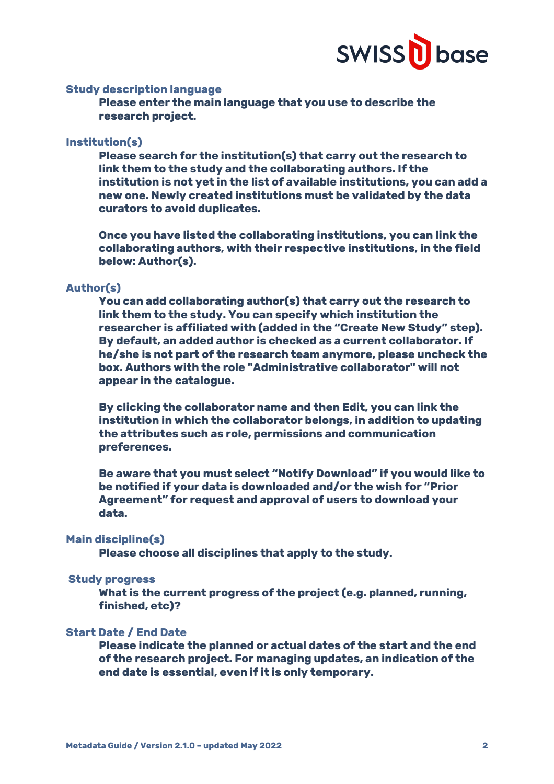

# **Study description language**

**Please enter the main language that you use to describe the research project.**

# **Institution(s)**

**Please search for the institution(s) that carry out the research to link them to the study and the collaborating authors. If the institution is not yet in the list of available institutions, you can add a new one. Newly created institutions must be validated by the data curators to avoid duplicates.**

**Once you have listed the collaborating institutions, you can link the collaborating authors, with their respective institutions, in the field below: Author(s).**

#### **Author(s)**

**You can add collaborating author(s) that carry out the research to link them to the study. You can specify which institution the researcher is affiliated with (added in the "Create New Study" step). By default, an added author is checked as a current collaborator. If he/she is not part of the research team anymore, please uncheck the box. Authors with the role "Administrative collaborator" will not appear in the catalogue.**

**By clicking the collaborator name and then Edit, you can link the institution in which the collaborator belongs, in addition to updating the attributes such as role, permissions and communication preferences.** 

**Be aware that you must select "Notify Download" if you would like to be notified if your data is downloaded and/or the wish for "Prior Agreement" for request and approval of users to download your data.**

# **Main discipline(s)**

**Please choose all disciplines that apply to the study.**

### **Study progress**

**What is the current progress of the project (e.g. planned, running, finished, etc)?**

# **Start Date / End Date**

**Please indicate the planned or actual dates of the start and the end of the research project. For managing updates, an indication of the end date is essential, even if it is only temporary.**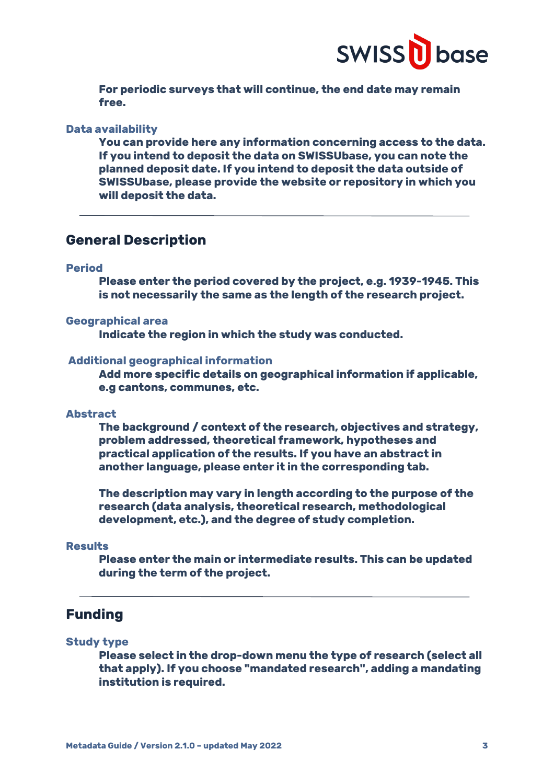

**For periodic surveys that will continue, the end date may remain free.**

**Data availability** 

**You can provide here any information concerning access to the data. If you intend to deposit the data on SWISSUbase, you can note the planned deposit date. If you intend to deposit the data outside of SWISSUbase, please provide the website or repository in which you will deposit the data.** 

# **General Description**

### **Period**

**Please enter the period covered by the project, e.g. 1939-1945. This is not necessarily the same as the length of the research project.**

## **Geographical area**

**Indicate the region in which the study was conducted.**

#### **Additional geographical information**

**Add more specific details on geographical information if applicable, e.g cantons, communes, etc.**

### **Abstract**

**The background / context of the research, objectives and strategy, problem addressed, theoretical framework, hypotheses and practical application of the results. If you have an abstract in another language, please enter it in the corresponding tab.**

**The description may vary in length according to the purpose of the research (data analysis, theoretical research, methodological development, etc.), and the degree of study completion.**

# **Results**

**Please enter the main or intermediate results. This can be updated during the term of the project.**

# **Funding**

### **Study type**

**Please select in the drop-down menu the type of research (select all that apply). If you choose "mandated research", adding a mandating institution is required.**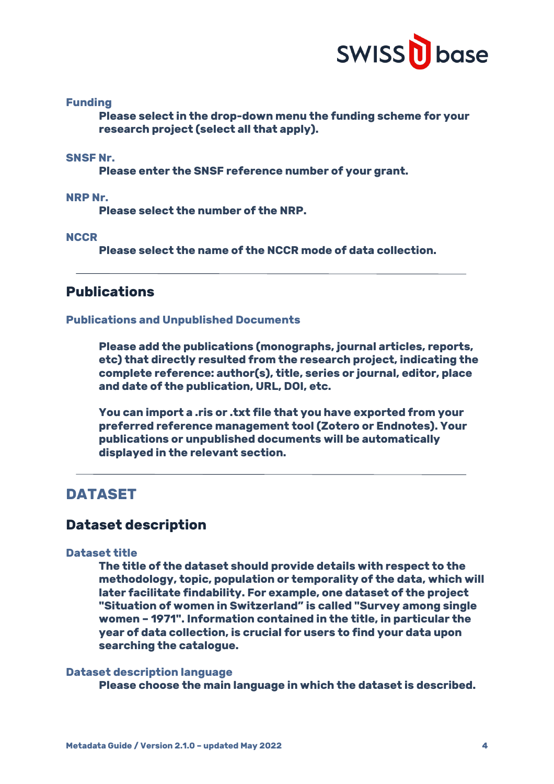

# **Funding**

**Please select in the drop-down menu the funding scheme for your research project (select all that apply).**

# **SNSF Nr.**

**Please enter the SNSF reference number of your grant.**

**NRP Nr.**

**Please select the number of the NRP.**

### **NCCR**

**Please select the name of the NCCR mode of data collection.**

# **Publications**

#### **Publications and Unpublished Documents**

**Please add the publications (monographs, journal articles, reports, etc) that directly resulted from the research project, indicating the complete reference: author(s), title, series or journal, editor, place and date of the publication, URL, DOI, etc.**

**You can import a .ris or .txt file that you have exported from your preferred reference management tool (Zotero or Endnotes). Your publications or unpublished documents will be automatically displayed in the relevant section.**

# **DATASET**

# **Dataset description**

### **Dataset title**

**The title of the dataset should provide details with respect to the methodology, topic, population or temporality of the data, which will later facilitate findability. For example, one dataset of the project "Situation of women in Switzerland" is called "Survey among single women – 1971". Information contained in the title, in particular the year of data collection, is crucial for users to find your data upon searching the catalogue.**

### **Dataset description language**

**Please choose the main language in which the dataset is described.**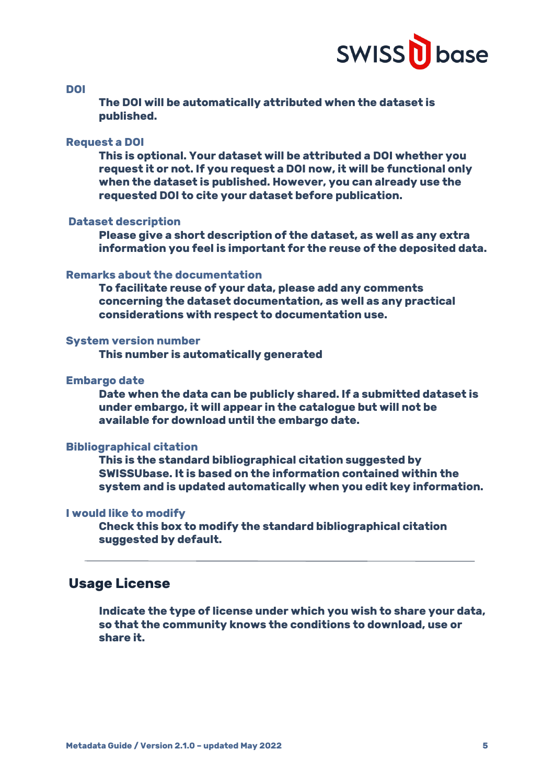

**DOI**

**The DOI will be automatically attributed when the dataset is published.**

### **Request a DOI**

**This is optional. Your dataset will be attributed a DOI whether you request it or not. If you request a DOI now, it will be functional only when the dataset is published. However, you can already use the requested DOI to cite your dataset before publication.**

### **Dataset description**

**Please give a short description of the dataset, as well as any extra information you feel is important for the reuse of the deposited data.**

### **Remarks about the documentation**

**To facilitate reuse of your data, please add any comments concerning the dataset documentation, as well as any practical considerations with respect to documentation use.**

# **System version number**

**This number is automatically generated** 

### **Embargo date**

**Date when the data can be publicly shared. If a submitted dataset is under embargo, it will appear in the catalogue but will not be available for download until the embargo date.**

### **Bibliographical citation**

**This is the standard bibliographical citation suggested by SWISSUbase. It is based on the information contained within the system and is updated automatically when you edit key information.** 

### **I would like to modify**

**Check this box to modify the standard bibliographical citation suggested by default.**

# **Usage License**

**Indicate the type of license under which you wish to share your data, so that the community knows the conditions to download, use or share it.**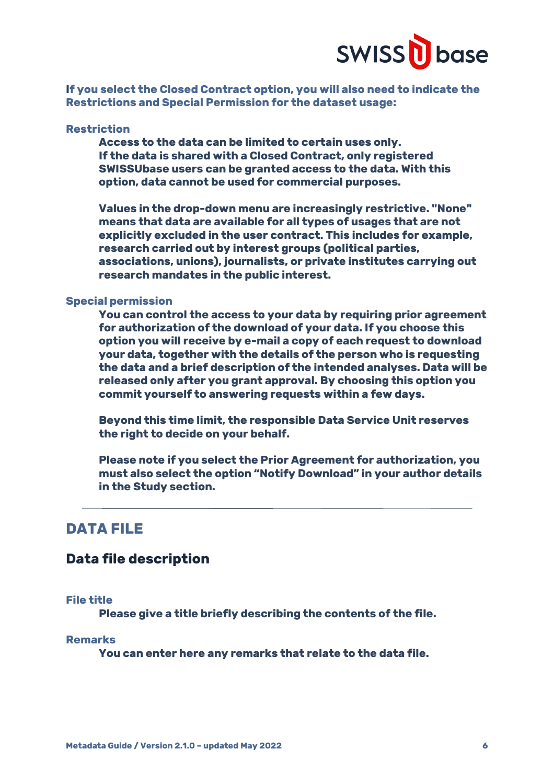

**If you select the Closed Contract option, you will also need to indicate the Restrictions and Special Permission for the dataset usage:**

# **Restriction**

**Access to the data can be limited to certain uses only. If the data is shared with a Closed Contract, only registered SWISSUbase users can be granted access to the data. With this option, data cannot be used for commercial purposes.** 

**Values in the drop-down menu are increasingly restrictive. "None" means that data are available for all types of usages that are not explicitly excluded in the user contract. This includes for example, research carried out by interest groups (political parties, associations, unions), journalists, or private institutes carrying out research mandates in the public interest.**

### **Special permission**

**You can control the access to your data by requiring prior agreement for authorization of the download of your data. If you choose this option you will receive by e-mail a copy of each request to download your data, together with the details of the person who is requesting the data and a brief description of the intended analyses. Data will be released only after you grant approval. By choosing this option you commit yourself to answering requests within a few days.** 

**Beyond this time limit, the responsible Data Service Unit reserves the right to decide on your behalf.**

**Please note if you select the Prior Agreement for authorization, you must also select the option "Notify Download" in your author details in the Study section.**

# **DATA FILE**

# **Data file description**

### **File title**

**Please give a title briefly describing the contents of the file.**

#### **Remarks**

**You can enter here any remarks that relate to the data file.**